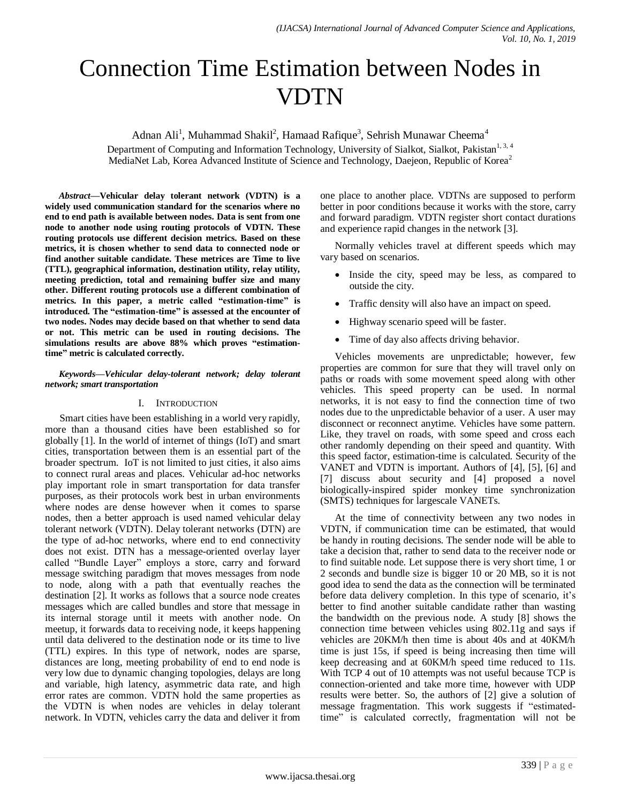# Connection Time Estimation between Nodes in VDTN

Adnan Ali<sup>1</sup>, Muhammad Shakil<sup>2</sup>, Hamaad Rafique<sup>3</sup>, Sehrish Munawar Cheema<sup>4</sup>

Department of Computing and Information Technology, University of Sialkot, Sialkot, Pakistan<sup>1, 3, 4</sup> MediaNet Lab, Korea Advanced Institute of Science and Technology, Daejeon, Republic of Korea<sup>2</sup>

*Abstract***—Vehicular delay tolerant network (VDTN) is a widely used communication standard for the scenarios where no end to end path is available between nodes. Data is sent from one node to another node using routing protocols of VDTN. These routing protocols use different decision metrics. Based on these metrics, it is chosen whether to send data to connected node or find another suitable candidate. These metrices are Time to live (TTL), geographical information, destination utility, relay utility, meeting prediction, total and remaining buffer size and many other. Different routing protocols use a different combination of metrics. In this paper, a metric called "estimation-time" is introduced. The "estimation-time" is assessed at the encounter of two nodes. Nodes may decide based on that whether to send data or not. This metric can be used in routing decisions. The simulations results are above 88% which proves "estimationtime" metric is calculated correctly.**

#### *Keywords—Vehicular delay-tolerant network; delay tolerant network; smart transportation*

### I. INTRODUCTION

Smart cities have been establishing in a world very rapidly, more than a thousand cities have been established so for globally [1]. In the world of internet of things (IoT) and smart cities, transportation between them is an essential part of the broader spectrum. IoT is not limited to just cities, it also aims to connect rural areas and places. Vehicular ad-hoc networks play important role in smart transportation for data transfer purposes, as their protocols work best in urban environments where nodes are dense however when it comes to sparse nodes, then a better approach is used named vehicular delay tolerant network (VDTN). Delay tolerant networks (DTN) are the type of ad-hoc networks, where end to end connectivity does not exist. DTN has a message-oriented overlay layer called "Bundle Layer" employs a store, carry and forward message switching paradigm that moves messages from node to node, along with a path that eventually reaches the destination [2]. It works as follows that a source node creates messages which are called bundles and store that message in its internal storage until it meets with another node. On meetup, it forwards data to receiving node, it keeps happening until data delivered to the destination node or its time to live (TTL) expires. In this type of network, nodes are sparse, distances are long, meeting probability of end to end node is very low due to dynamic changing topologies, delays are long and variable, high latency, asymmetric data rate, and high error rates are common. VDTN hold the same properties as the VDTN is when nodes are vehicles in delay tolerant network. In VDTN, vehicles carry the data and deliver it from one place to another place. VDTNs are supposed to perform better in poor conditions because it works with the store, carry and forward paradigm. VDTN register short contact durations and experience rapid changes in the network [3].

Normally vehicles travel at different speeds which may vary based on scenarios.

- Inside the city, speed may be less, as compared to outside the city.
- Traffic density will also have an impact on speed.
- Highway scenario speed will be faster.
- Time of day also affects driving behavior.

Vehicles movements are unpredictable; however, few properties are common for sure that they will travel only on paths or roads with some movement speed along with other vehicles. This speed property can be used. In normal networks, it is not easy to find the connection time of two nodes due to the unpredictable behavior of a user. A user may disconnect or reconnect anytime. Vehicles have some pattern. Like, they travel on roads, with some speed and cross each other randomly depending on their speed and quantity. With this speed factor, estimation-time is calculated. Security of the VANET and VDTN is important. Authors of [4], [5], [6] and [7] discuss about security and [4] proposed a novel biologically-inspired spider monkey time synchronization (SMTS) techniques for largescale VANETs.

At the time of connectivity between any two nodes in VDTN, if communication time can be estimated, that would be handy in routing decisions. The sender node will be able to take a decision that, rather to send data to the receiver node or to find suitable node. Let suppose there is very short time, 1 or 2 seconds and bundle size is bigger 10 or 20 MB, so it is not good idea to send the data as the connection will be terminated before data delivery completion. In this type of scenario, it's better to find another suitable candidate rather than wasting the bandwidth on the previous node. A study [8] shows the connection time between vehicles using 802.11g and says if vehicles are 20KM/h then time is about 40s and at 40KM/h time is just 15s, if speed is being increasing then time will keep decreasing and at 60KM/h speed time reduced to 11s. With TCP 4 out of 10 attempts was not useful because TCP is connection-oriented and take more time, however with UDP results were better. So, the authors of [2] give a solution of message fragmentation. This work suggests if "estimatedtime" is calculated correctly, fragmentation will not be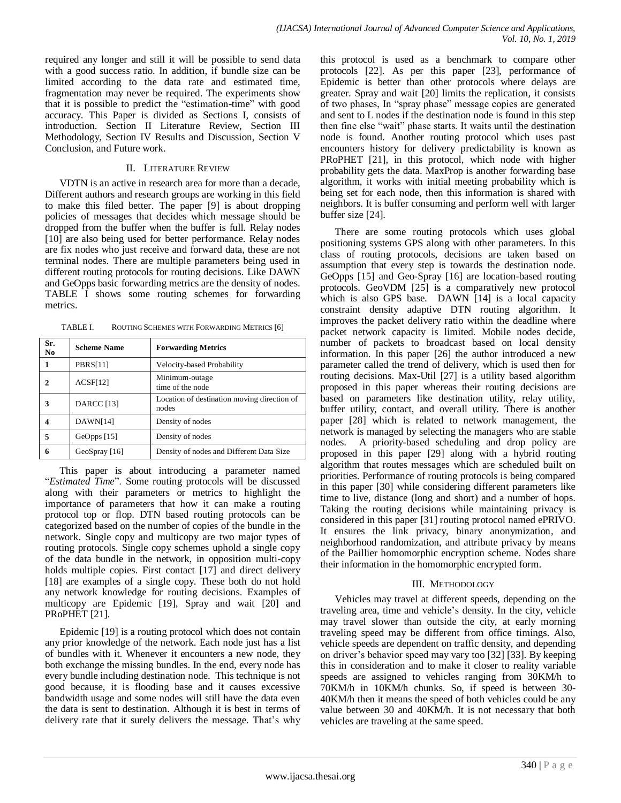required any longer and still it will be possible to send data with a good success ratio. In addition, if bundle size can be limited according to the data rate and estimated time, fragmentation may never be required. The experiments show that it is possible to predict the "estimation-time" with good accuracy. This Paper is divided as Sections I, consists of introduction. Section II Literature Review, Section III Methodology, Section IV Results and Discussion, Section V Conclusion, and Future work.

### II. LITERATURE REVIEW

VDTN is an active in research area for more than a decade, Different authors and research groups are working in this field to make this filed better. The paper [9] is about dropping policies of messages that decides which message should be dropped from the buffer when the buffer is full. Relay nodes [10] are also being used for better performance. Relay nodes are fix nodes who just receive and forward data, these are not terminal nodes. There are multiple parameters being used in different routing protocols for routing decisions. Like DAWN and GeOpps basic forwarding metrics are the density of nodes. TABLE I shows some routing schemes for forwarding metrics.

| ROUTING SCHEMES WITH FORWARDING METRICS [6] |
|---------------------------------------------|
|                                             |

| Sr.<br>N <sub>0</sub> | <b>Scheme Name</b> | <b>Forwarding Metrics</b>                            |  |  |
|-----------------------|--------------------|------------------------------------------------------|--|--|
| 1                     | <b>PBRS[11]</b>    | Velocity-based Probability                           |  |  |
|                       | ACSF[12]           | Minimum-outage<br>time of the node                   |  |  |
| 3                     | <b>DARCC</b> [13]  | Location of destination moving direction of<br>nodes |  |  |
|                       | DAWN[14]           | Density of nodes                                     |  |  |
| 5                     | $GeOpps$ [15]      | Density of nodes                                     |  |  |
| 6                     | GeoSpray [16]      | Density of nodes and Different Data Size             |  |  |

This paper is about introducing a parameter named "*Estimated Time*". Some routing protocols will be discussed along with their parameters or metrics to highlight the importance of parameters that how it can make a routing protocol top or flop. DTN based routing protocols can be categorized based on the number of copies of the bundle in the network. Single copy and multicopy are two major types of routing protocols. Single copy schemes uphold a single copy of the data bundle in the network, in opposition multi-copy holds multiple copies. First contact [17] and direct delivery [18] are examples of a single copy. These both do not hold any network knowledge for routing decisions. Examples of multicopy are Epidemic [19], Spray and wait [20] and PRoPHET [21].

Epidemic [19] is a routing protocol which does not contain any prior knowledge of the network. Each node just has a list of bundles with it. Whenever it encounters a new node, they both exchange the missing bundles. In the end, every node has every bundle including destination node. This technique is not good because, it is flooding base and it causes excessive bandwidth usage and some nodes will still have the data even the data is sent to destination. Although it is best in terms of delivery rate that it surely delivers the message. That's why

this protocol is used as a benchmark to compare other protocols [22]. As per this paper [23], performance of Epidemic is better than other protocols where delays are greater. Spray and wait [20] limits the replication, it consists of two phases, In "spray phase" message copies are generated and sent to L nodes if the destination node is found in this step then fine else "wait" phase starts. It waits until the destination node is found. Another routing protocol which uses past encounters history for delivery predictability is known as PRoPHET [21], in this protocol, which node with higher probability gets the data. MaxProp is another forwarding base algorithm, it works with initial meeting probability which is being set for each node, then this information is shared with neighbors. It is buffer consuming and perform well with larger buffer size [24].

There are some routing protocols which uses global positioning systems GPS along with other parameters. In this class of routing protocols, decisions are taken based on assumption that every step is towards the destination node. GeOpps [15] and Geo-Spray [16] are location-based routing protocols. GeoVDM [25] is a comparatively new protocol which is also GPS base. DAWN [14] is a local capacity constraint density adaptive DTN routing algorithm. It improves the packet delivery ratio within the deadline where packet network capacity is limited. Mobile nodes decide, number of packets to broadcast based on local density information. In this paper [26] the author introduced a new parameter called the trend of delivery, which is used then for routing decisions. Max-Util [27] is a utility based algorithm proposed in this paper whereas their routing decisions are based on parameters like destination utility, relay utility, buffer utility, contact, and overall utility. There is another paper [28] which is related to network management, the network is managed by selecting the managers who are stable nodes. A priority-based scheduling and drop policy are proposed in this paper [29] along with a hybrid routing algorithm that routes messages which are scheduled built on priorities. Performance of routing protocols is being compared in this paper [30] while considering different parameters like time to live, distance (long and short) and a number of hops. Taking the routing decisions while maintaining privacy is considered in this paper [31] routing protocol named ePRIVO. It ensures the link privacy, binary anonymization, and neighborhood randomization, and attribute privacy by means of the Paillier homomorphic encryption scheme. Nodes share their information in the homomorphic encrypted form.

### III. METHODOLOGY

Vehicles may travel at different speeds, depending on the traveling area, time and vehicle's density. In the city, vehicle may travel slower than outside the city, at early morning traveling speed may be different from office timings. Also, vehicle speeds are dependent on traffic density, and depending on driver's behavior speed may vary too [32] [33]. By keeping this in consideration and to make it closer to reality variable speeds are assigned to vehicles ranging from 30KM/h to 70KM/h in 10KM/h chunks. So, if speed is between 30- 40KM/h then it means the speed of both vehicles could be any value between 30 and 40KM/h. It is not necessary that both vehicles are traveling at the same speed.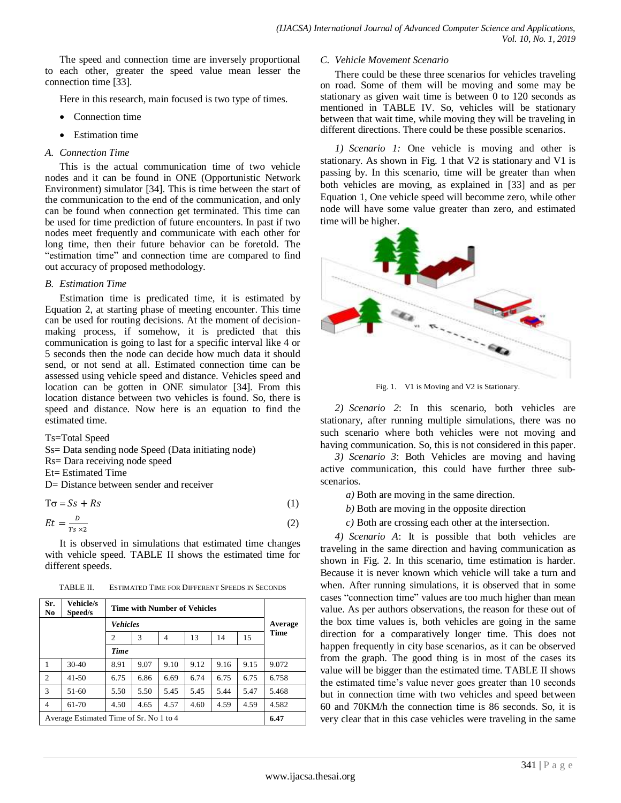The speed and connection time are inversely proportional to each other, greater the speed value mean lesser the connection time [33].

Here in this research, main focused is two type of times.

- Connection time
- Estimation time

#### *A. Connection Time*

This is the actual communication time of two vehicle nodes and it can be found in ONE (Opportunistic Network Environment) simulator [34]. This is time between the start of the communication to the end of the communication, and only can be found when connection get terminated. This time can be used for time prediction of future encounters. In past if two nodes meet frequently and communicate with each other for long time, then their future behavior can be foretold. The "estimation time" and connection time are compared to find out accuracy of proposed methodology.

## *B. Estimation Time*

Estimation time is predicated time, it is estimated by Equation 2, at starting phase of meeting encounter. This time can be used for routing decisions. At the moment of decisionmaking process, if somehow, it is predicted that this communication is going to last for a specific interval like 4 or 5 seconds then the node can decide how much data it should send, or not send at all. Estimated connection time can be assessed using vehicle speed and distance. Vehicles speed and location can be gotten in ONE simulator [34]. From this location distance between two vehicles is found. So, there is speed and distance. Now here is an equation to find the estimated time.

Ts=Total Speed

- Ss= Data sending node Speed (Data initiating node)
- Rs= Dara receiving node speed
- Et= Estimated Time
- D= Distance between sender and receiver

 $T\sigma = Ss + Rs$  (1)

$$
Et = \frac{D}{Ts \times 2} \tag{2}
$$

It is observed in simulations that estimated time changes with vehicle speed. TABLE II shows the estimated time for different speeds.

TABLE II. ESTIMATED TIME FOR DIFFERENT SPEEDS IN SECONDS

| Sr.<br>N <sub>0</sub>                   | Vehicle/s<br>Speed/s | Time with Number of Vehicles |      |                |      |      |         |       |
|-----------------------------------------|----------------------|------------------------------|------|----------------|------|------|---------|-------|
| <b>Vehicles</b>                         |                      |                              |      |                |      |      | Average |       |
|                                         |                      | $\overline{c}$               | 3    | $\overline{4}$ | 13   | 14   | 15      | Time  |
|                                         |                      | Time                         |      |                |      |      |         |       |
| 1                                       | $30-40$              | 8.91                         | 9.07 | 9.10           | 9.12 | 9.16 | 9.15    | 9.072 |
| $\overline{2}$                          | $41 - 50$            | 6.75                         | 6.86 | 6.69           | 6.74 | 6.75 | 6.75    | 6.758 |
| 3                                       | $51-60$              | 5.50                         | 5.50 | 5.45           | 5.45 | 5.44 | 5.47    | 5.468 |
| $\overline{4}$                          | 61-70                | 4.50                         | 4.65 | 4.57           | 4.60 | 4.59 | 4.59    | 4.582 |
| Average Estimated Time of Sr. No 1 to 4 |                      |                              |      |                |      |      | 6.47    |       |

#### *C. Vehicle Movement Scenario*

There could be these three scenarios for vehicles traveling on road. Some of them will be moving and some may be stationary as given wait time is between 0 to 120 seconds as mentioned in TABLE IV. So, vehicles will be stationary between that wait time, while moving they will be traveling in different directions. There could be these possible scenarios.

*1) Scenario 1:* One vehicle is moving and other is stationary. As shown in Fig. 1 that V2 is stationary and V1 is passing by. In this scenario, time will be greater than when both vehicles are moving, as explained in [33] and as per Equation 1, One vehicle speed will becomme zero, while other node will have some value greater than zero, and estimated time will be higher.



Fig. 1. V1 is Moving and V2 is Stationary.

*2) Scenario 2*: In this scenario, both vehicles are stationary, after running multiple simulations, there was no such scenario where both vehicles were not moving and having communication. So, this is not considered in this paper.

*3) Scenario 3*: Both Vehicles are moving and having active communication, this could have further three subscenarios.

- *a)* Both are moving in the same direction.
- *b)* Both are moving in the opposite direction
- *c)* Both are crossing each other at the intersection.

<span id="page-2-0"></span>*4) Scenario A*: It is possible that both vehicles are traveling in the same direction and having communication as shown in Fig. 2. In this scenario, time estimation is harder. Because it is never known which vehicle will take a turn and when. After running simulations, it is observed that in some cases "connection time" values are too much higher than mean value. As per authors observations, the reason for these out of the box time values is, both vehicles are going in the same direction for a comparatively longer time. This does not happen frequently in city base scenarios, as it can be observed from the graph. The good thing is in most of the cases its value will be bigger than the estimated time. TABLE II shows the estimated time's value never goes greater than 10 seconds but in connection time with two vehicles and speed between 60 and 70KM/h the connection time is 86 seconds. So, it is very clear that in this case vehicles were traveling in the same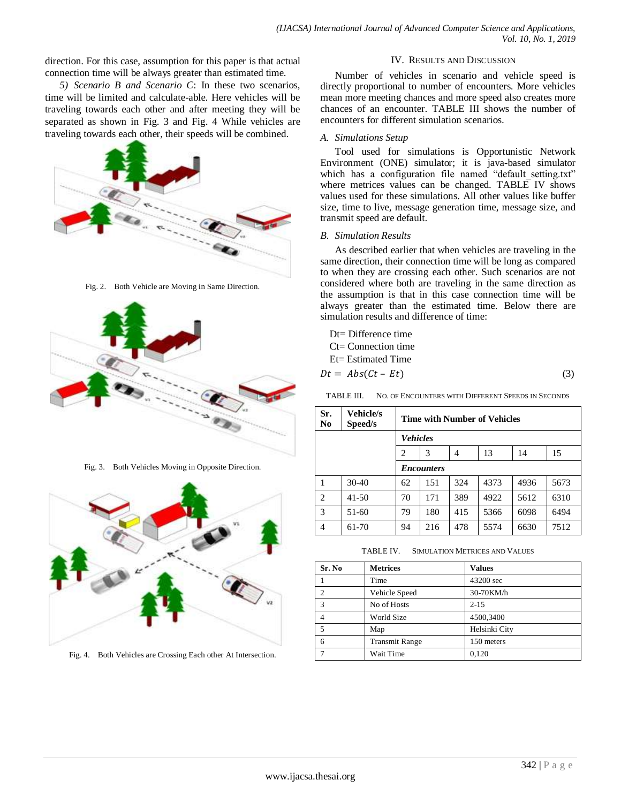direction. For this case, assumption for this paper is that actual connection time will be always greater than estimated time.

*5) Scenario B and Scenario C*: In these two scenarios, time will be limited and calculate-able. Here vehicles will be traveling towards each other and after meeting they will be separated as shown in Fig. 3 and Fig. 4 While vehicles are traveling towards each other, their speeds will be combined.



Fig. 2. Both Vehicle are Moving in Same Direction.



Fig. 3. Both Vehicles Moving in Opposite Direction.



Fig. 4. Both Vehicles are Crossing Each other At Intersection.

## IV. RESULTS AND DISCUSSION

Number of vehicles in scenario and vehicle speed is directly proportional to number of encounters. More vehicles mean more meeting chances and more speed also creates more chances of an encounter. TABLE III shows the number of encounters for different simulation scenarios.

### *A. Simulations Setup*

Tool used for simulations is Opportunistic Network Environment (ONE) simulator; it is java-based simulator which has a configuration file named "default setting.txt" where metrices values can be changed. TABLE IV shows values used for these simulations. All other values like buffer size, time to live, message generation time, message size, and transmit speed are default.

### *B. Simulation Results*

As described earlier that when vehicles are traveling in the same direction, their connection time will be long as compared to when they are crossing each other. Such scenarios are not considered where both are traveling in the same direction as the assumption is that in this case connection time will be always greater than the estimated time. Below there are simulation results and difference of time:

Dt= Difference time C<sub>t</sub>= Connection time Et= Estimated Time

$$
Dt = Abs(Ct - Et) \tag{3}
$$

TABLE III. NO. OF ENCOUNTERS WITH DIFFERENT SPEEDS IN SECONDS

| Sr.<br>No.     | <b>Vehicle/s</b><br>Speed/s | Time with Number of Vehicles |     |     |      |      |      |  |
|----------------|-----------------------------|------------------------------|-----|-----|------|------|------|--|
|                |                             | <b>Vehicles</b>              |     |     |      |      |      |  |
|                |                             | $\overline{c}$               | 3   | 4   | 13   | 14   | 15   |  |
|                | <i><b>Encounters</b></i>    |                              |     |     |      |      |      |  |
| 1              | $30-40$                     | 62                           | 151 | 324 | 4373 | 4936 | 5673 |  |
| $\overline{2}$ | $41 - 50$                   | 70                           | 171 | 389 | 4922 | 5612 | 6310 |  |
| 3              | 51-60                       | 79                           | 180 | 415 | 5366 | 6098 | 6494 |  |
| 4              | 61-70                       | 94                           | 216 | 478 | 5574 | 6630 | 7512 |  |

TABLE IV. SIMULATION METRICES AND VALUES

| Sr. No         | <b>Metrices</b>       | <b>Values</b> |
|----------------|-----------------------|---------------|
|                | Time                  | 43200 sec     |
| $\mathfrak{D}$ | Vehicle Speed         | 30-70KM/h     |
| 3              | No of Hosts           | $2 - 15$      |
| 4              | World Size            | 4500,3400     |
| 5              | Map                   | Helsinki City |
| 6              | <b>Transmit Range</b> | 150 meters    |
|                | Wait Time             | 0.120         |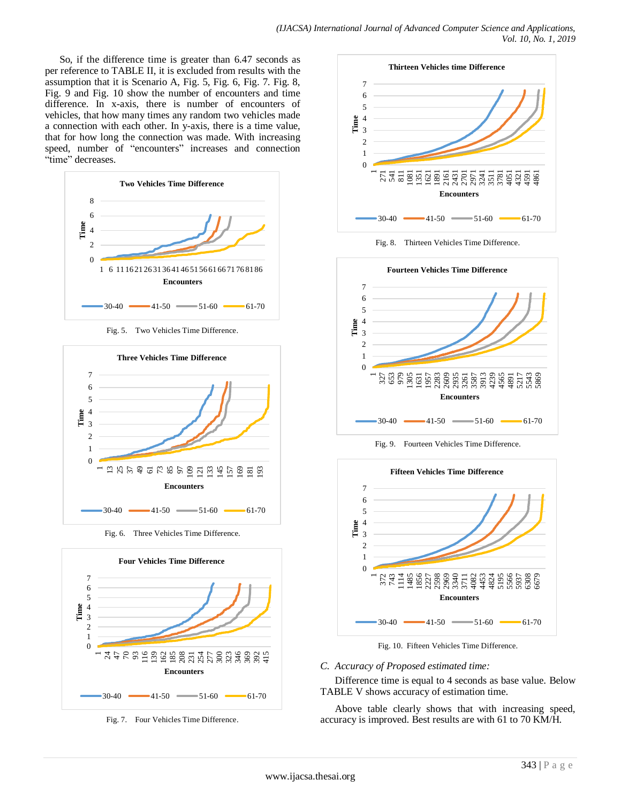So, if the difference time is greater than 6.47 seconds as per reference to TABLE II, it is excluded from results with the assumption that it is [Scenario A,](#page-2-0) Fig. 5, Fig. 6, Fig. 7. Fig. 8, Fig. 9 and Fig. 10 show the number of encounters and time difference. In x-axis, there is number of encounters of vehicles, that how many times any random two vehicles made a connection with each other. In y-axis, there is a time value, that for how long the connection was made. With increasing speed, number of "encounters" increases and connection "time" decreases.



Fig. 5. Two Vehicles Time Difference.



Fig. 6. Three Vehicles Time Difference.



Fig. 7. Four Vehicles Time Difference.



Fig. 8. Thirteen Vehicles Time Difference.



Fig. 9. Fourteen Vehicles Time Difference.



Fig. 10. Fifteen Vehicles Time Difference.

### *C. Accuracy of Proposed estimated time:*

Difference time is equal to 4 seconds as base value. Below TABLE V shows accuracy of estimation time.

Above table clearly shows that with increasing speed, accuracy is improved. Best results are with 61 to 70 KM/H.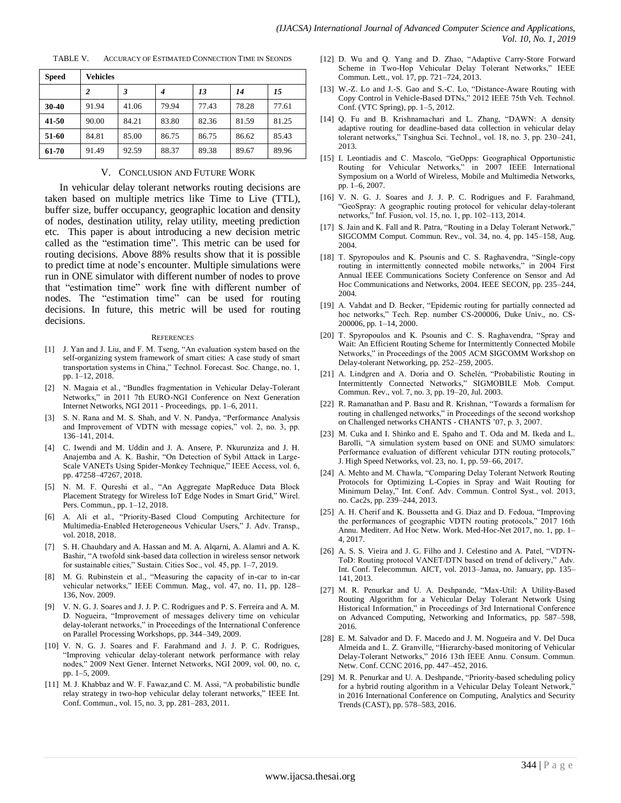| <b>Speed</b> | <b>Vehicles</b> |       |       |       |       |       |  |  |  |
|--------------|-----------------|-------|-------|-------|-------|-------|--|--|--|
|              | 2               | 3     | 4     | 13    | 14    | 15    |  |  |  |
| 30-40        | 91.94           | 41.06 | 79.94 | 77.43 | 78.28 | 77.61 |  |  |  |
| 41-50        | 90.00           | 84.21 | 83.80 | 82.36 | 81.59 | 81.25 |  |  |  |
| 51-60        | 84.81           | 85.00 | 86.75 | 86.75 | 86.62 | 85.43 |  |  |  |
| 61-70        | 91.49           | 92.59 | 88.37 | 89.38 | 89.67 | 89.96 |  |  |  |

TABLE V. ACCURACY OF ESTIMATED CONNECTION TIME IN SEONDS

#### V. CONCLUSION AND FUTURE WORK

In vehicular delay tolerant networks routing decisions are taken based on multiple metrics like Time to Live (TTL), buffer size, buffer occupancy, geographic location and density of nodes, destination utility, relay utility, meeting prediction etc. This paper is about introducing a new decision metric called as the "estimation time". This metric can be used for routing decisions. Above 88% results show that it is possible to predict time at node's encounter. Multiple simulations were run in ONE simulator with different number of nodes to prove that "estimation time" work fine with different number of nodes. The "estimation time" can be used for routing decisions. In future, this metric will be used for routing decisions.

#### **REFERENCES**

- [1] J. Yan and J. Liu, and F. M. Tseng, "An evaluation system based on the self-organizing system framework of smart cities: A case study of smart transportation systems in China," Technol. Forecast. Soc. Change, no. 1, pp. 1–12, 2018.
- [2] N. Magaia et al., "Bundles fragmentation in Vehicular Delay-Tolerant Networks," in 2011 7th EURO-NGI Conference on Next Generation Internet Networks, NGI 2011 - Proceedings, pp. 1–6, 2011.
- [3] S. N. Rana and M. S. Shah, and V. N. Pandya, "Performance Analysis and Improvement of VDTN with message copies," vol. 2, no. 3, pp. 136–141, 2014.
- [4] C. Iwendi and M. Uddin and J. A. Ansere, P. Nkurunziza and J. H. Anajemba and A. K. Bashir, "On Detection of Sybil Attack in Large-Scale VANETs Using Spider-Monkey Technique," IEEE Access, vol. 6, pp. 47258–47267, 2018.
- [5] N. M. F. Qureshi et al., "An Aggregate MapReduce Data Block Placement Strategy for Wireless IoT Edge Nodes in Smart Grid," Wirel. Pers. Commun., pp. 1–12, 2018.
- [6] A. Ali et al., "Priority-Based Cloud Computing Architecture for Multimedia-Enabled Heterogeneous Vehicular Users," J. Adv. Transp., vol. 2018, 2018.
- [7] S. H. Chauhdary and A. Hassan and M. A. Alqarni, A. Alamri and A. K. Bashir, "A twofold sink-based data collection in wireless sensor network for sustainable cities," Sustain. Cities Soc., vol. 45, pp. 1–7, 2019.
- [8] M. G. Rubinstein et al., "Measuring the capacity of in-car to in-car vehicular networks," IEEE Commun. Mag., vol. 47, no. 11, pp. 128– 136, Nov. 2009.
- V. N. G. J. Soares and J. J. P. C. Rodrigues and P. S. Ferreira and A. M. D. Nogueira, "Improvement of messages delivery time on vehicular delay-tolerant networks," in Proceedings of the International Conference on Parallel Processing Workshops, pp. 344–349, 2009.
- [10] V. N. G. J. Soares and F. Farahmand and J. J. P. C. Rodrigues, "Improving vehicular delay-tolerant network performance with relay nodes," 2009 Next Gener. Internet Networks, NGI 2009, vol. 00, no. c, pp. 1–5, 2009.
- [11] M. J. Khabbaz and W. F. Fawaz, and C. M. Assi, "A probabilistic bundle relay strategy in two-hop vehicular delay tolerant networks," IEEE Int. Conf. Commun., vol. 15, no. 3, pp. 281–283, 2011.
- [12] D. Wu and Q. Yang and D. Zhao, "Adaptive Carry-Store Forward Scheme in Two-Hop Vehicular Delay Tolerant Networks," IEEE Commun. Lett., vol. 17, pp. 721–724, 2013.
- [13] W.-Z. Lo and J.-S. Gao and S.-C. Lo, "Distance-Aware Routing with Copy Control in Vehicle-Based DTNs," 2012 IEEE 75th Veh. Technol. Conf. (VTC Spring), pp. 1–5, 2012.
- [14] Q. Fu and B. Krishnamachari and L. Zhang, "DAWN: A density adaptive routing for deadline-based data collection in vehicular delay tolerant networks," Tsinghua Sci. Technol., vol. 18, no. 3, pp. 230–241, 2013.
- [15] I. Leontiadis and C. Mascolo, "GeOpps: Geographical Opportunistic Routing for Vehicular Networks," in 2007 IEEE International Symposium on a World of Wireless, Mobile and Multimedia Networks, pp. 1–6, 2007.
- [16] V. N. G. J. Soares and J. J. P. C. Rodrigues and F. Farahmand, "GeoSpray: A geographic routing protocol for vehicular delay-tolerant networks," Inf. Fusion, vol. 15, no. 1, pp. 102–113, 2014.
- [17] S. Jain and K. Fall and R. Patra, "Routing in a Delay Tolerant Network," SIGCOMM Comput. Commun. Rev., vol. 34, no. 4, pp. 145–158, Aug. 2004.
- [18] T. Spyropoulos and K. Psounis and C. S. Raghavendra, "Single-copy routing in intermittently connected mobile networks," in 2004 First Annual IEEE Communications Society Conference on Sensor and Ad Hoc Communications and Networks, 2004. IEEE SECON, pp. 235–244, 2004.
- [19] A. Vahdat and D. Becker, "Epidemic routing for partially connected ad hoc networks," Tech. Rep. number CS-200006, Duke Univ., no. CS-200006, pp. 1–14, 2000.
- [20] T. Spyropoulos and K. Psounis and C. S. Raghavendra, "Spray and Wait: An Efficient Routing Scheme for Intermittently Connected Mobile Networks," in Proceedings of the 2005 ACM SIGCOMM Workshop on Delay-tolerant Networking, pp. 252–259, 2005.
- [21] A. Lindgren and A. Doria and O. Schelén, "Probabilistic Routing in Intermittently Connected Networks," SIGMOBILE Mob. Comput. Commun. Rev., vol. 7, no. 3, pp. 19–20, Jul. 2003.
- [22] R. Ramanathan and P. Basu and R. Krishnan, "Towards a formalism for routing in challenged networks," in Proceedings of the second workshop on Challenged networks CHANTS - CHANTS '07, p. 3, 2007.
- [23] M. Cuka and I. Shinko and E. Spaho and T. Oda and M. Ikeda and L. Barolli, "A simulation system based on ONE and SUMO simulators: Performance evaluation of different vehicular DTN routing protocols," J. High Speed Networks, vol. 23, no. 1, pp. 59–66, 2017.
- [24] A. Mehto and M. Chawla, "Comparing Delay Tolerant Network Routing Protocols for Optimizing L-Copies in Spray and Wait Routing for Minimum Delay," Int. Conf. Adv. Commun. Control Syst., vol. 2013, no. Cac2s, pp. 239–244, 2013.
- [25] A. H. Cherif and K. Boussetta and G. Diaz and D. Fedoua, "Improving the performances of geographic VDTN routing protocols," 2017 16th Annu. Mediterr. Ad Hoc Netw. Work. Med-Hoc-Net 2017, no. 1, pp. 1– 4, 2017.
- [26] A. S. S. Vieira and J. G. Filho and J. Celestino and A. Patel, "VDTN-ToD: Routing protocol VANET/DTN based on trend of delivery," Adv. Int. Conf. Telecommun. AICT, vol. 2013–Janua, no. January, pp. 135– 141, 2013.
- [27] M. R. Penurkar and U. A. Deshpande, "Max-Util: A Utility-Based Routing Algorithm for a Vehicular Delay Tolerant Network Using Historical Information," in Proceedings of 3rd International Conference on Advanced Computing, Networking and Informatics, pp. 587–598, 2016.
- [28] E. M. Salvador and D. F. Macedo and J. M. Nogueira and V. Del Duca Almeida and L. Z. Granville, "Hierarchy-based monitoring of Vehicular Delay-Tolerant Networks," 2016 13th IEEE Annu. Consum. Commun. Netw. Conf. CCNC 2016, pp. 447–452, 2016.
- [29] M. R. Penurkar and U. A. Deshpande, "Priority-based scheduling policy for a hybrid routing algorithm in a Vehicular Delay Toleant Network," in 2016 International Conference on Computing, Analytics and Security Trends (CAST), pp. 578–583, 2016.